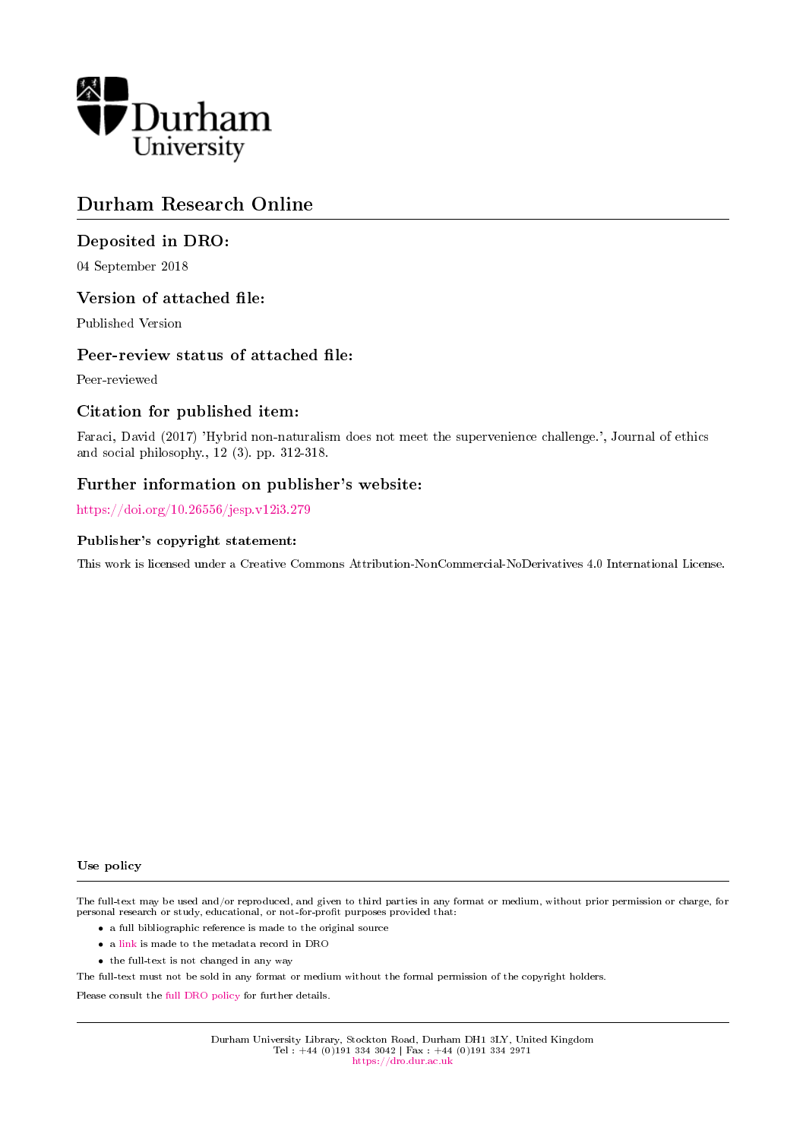

# Durham Research Online

## Deposited in DRO:

04 September 2018

### Version of attached file:

Published Version

### Peer-review status of attached file:

Peer-reviewed

### Citation for published item:

Faraci, David (2017) 'Hybrid non-naturalism does not meet the supervenience challenge.', Journal of ethics and social philosophy., 12 (3). pp. 312-318.

## Further information on publisher's website:

<https://doi.org/10.26556/jesp.v12i3.279>

### Publisher's copyright statement:

This work is licensed under a Creative Commons Attribution-NonCommercial-NoDerivatives 4.0 International License.

### Use policy

The full-text may be used and/or reproduced, and given to third parties in any format or medium, without prior permission or charge, for personal research or study, educational, or not-for-profit purposes provided that:

- a full bibliographic reference is made to the original source
- a [link](http://dro.dur.ac.uk/26073/) is made to the metadata record in DRO
- the full-text is not changed in any way

The full-text must not be sold in any format or medium without the formal permission of the copyright holders.

Please consult the [full DRO policy](https://dro.dur.ac.uk/policies/usepolicy.pdf) for further details.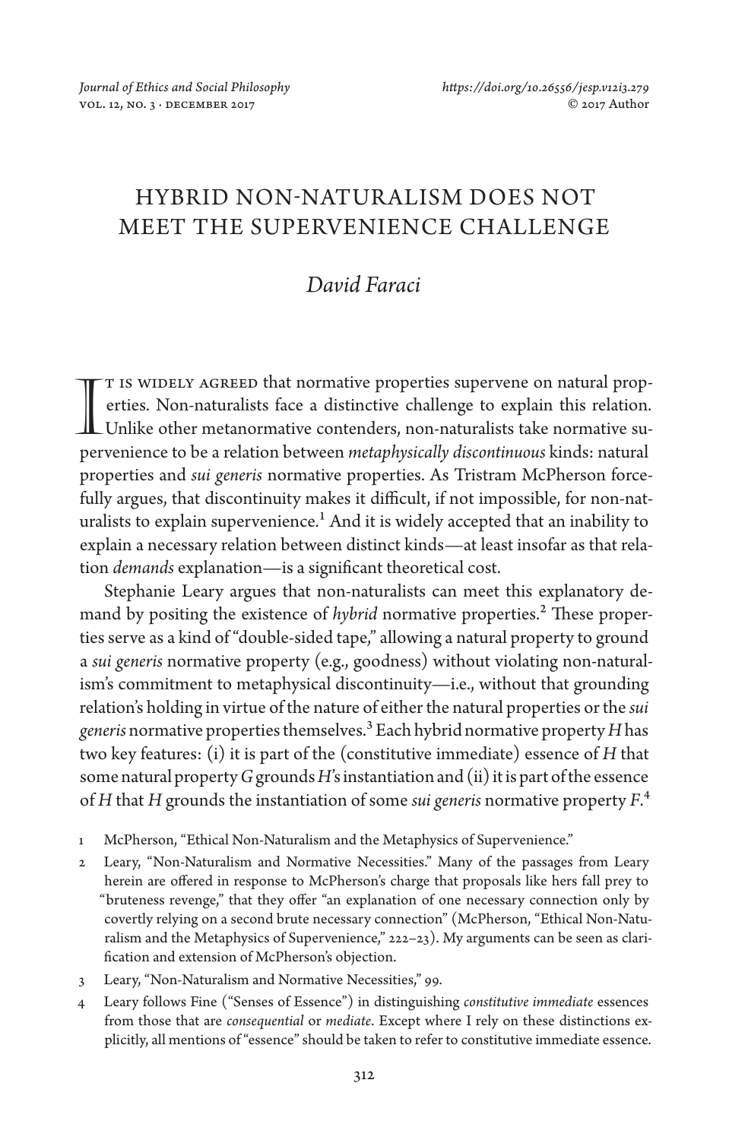# HYBRID NON-NATURALISM DOES NOT MEET THE SUPERVENIENCE CHALLENGE

### *David Faraci*

T IS WIDELY AGREED that normative properties supervene on natural properties. Non-naturalists face a distinctive challenge to explain this relation. T IS WIDELY AGREED that normative properties supervene on natural properties. Non-naturalists face a distinctive challenge to explain this relation.<br>Unlike other metanormative contenders, non-naturalists take normative sup pervenience to be a relation between *metaphysically discontinuous* kinds: natural properties and *sui generis* normative properties. As Tristram McPherson forcefully argues, that discontinuity makes it difficult, if not impossible, for non-naturalists to explain supervenience.<sup>1</sup> And it is widely accepted that an inability to explain a necessary relation between distinct kinds—at least insofar as that relation *demands* explanation—is a significant theoretical cost.

Stephanie Leary argues that non-naturalists can meet this explanatory demand by positing the existence of *hybrid* normative properties.<sup>2</sup> These properties serve as a kind of "double-sided tape," allowing a natural property to ground a *sui generis* normative property (e.g., goodness) without violating non-naturalism's commitment to metaphysical discontinuity—i.e., without that grounding relation's holding in virtue of the nature of either the natural properties or the *sui generis* normative properties themselves.3 Each hybrid normative property *H* has two key features: (i) it is part of the (constitutive immediate) essence of *H* that some natural property *G* grounds *H*'s instantiation and (ii) it is part of the essence of *H* that *H* grounds the instantiation of some *sui generis* normative property *F*.4

- 1 McPherson, "Ethical Non-Naturalism and the Metaphysics of Supervenience."
- 2 Leary, "Non-Naturalism and Normative Necessities." Many of the passages from Leary herein are offered in response to McPherson's charge that proposals like hers fall prey to "bruteness revenge," that they offer "an explanation of one necessary connection only by covertly relying on a second brute necessary connection" (McPherson, "Ethical Non-Naturalism and the Metaphysics of Supervenience," 222–23). My arguments can be seen as clarification and extension of McPherson's objection.
- 3 Leary, "Non-Naturalism and Normative Necessities," 99.
- 4 Leary follows Fine ("Senses of Essence") in distinguishing *constitutive immediate* essences from those that are *consequential* or *mediate*. Except where I rely on these distinctions explicitly, all mentions of "essence" should be taken to refer to constitutive immediate essence.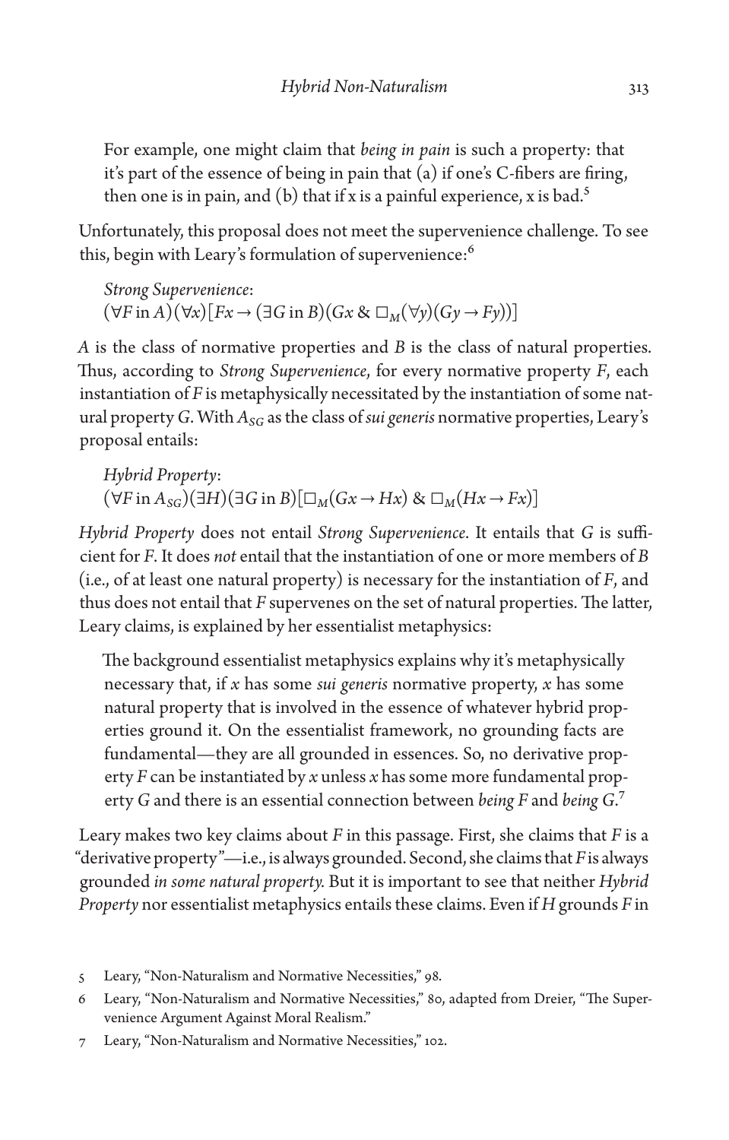For example, one might claim that *being in pain* is such a property: that it's part of the essence of being in pain that (a) if one's C-fibers are firing, then one is in pain, and (b) that if x is a painful experience, x is bad.<sup>5</sup>

Unfortunately, this proposal does not meet the supervenience challenge. To see this, begin with Leary's formulation of supervenience:<sup>6</sup>

*Strong Supervenience*:  $(\forall F \text{ in } A)(\forall x)[Fx \rightarrow (\exists G \text{ in } B)(Gx \& \Box_M(\forall y)(Gy \rightarrow Fy))]$ 

*A* is the class of normative properties and *B* is the class of natural properties. Thus, according to *Strong Supervenience*, for every normative property *F*, each instantiation of *F* is metaphysically necessitated by the instantiation of some natural property *G*. With *ASG* as the class of *sui generis* normative properties, Leary's proposal entails:

*Hybrid Property*:  $(\forall F \text{ in } A_{SG}) (\exists H)(\exists G \text{ in } B)[\Box_M(Gx \rightarrow Hx) \& \Box_M(Hx \rightarrow Fx)]$ 

*Hybrid Property* does not entail *Strong Supervenience*. It entails that *G* is sufficient for *F*. It does *not* entail that the instantiation of one or more members of *B* (i.e., of at least one natural property) is necessary for the instantiation of *F*, and thus does not entail that *F* supervenes on the set of natural properties. The latter, Leary claims, is explained by her essentialist metaphysics:

The background essentialist metaphysics explains why it's metaphysically necessary that, if *x* has some *sui generis* normative property, *x* has some natural property that is involved in the essence of whatever hybrid properties ground it. On the essentialist framework, no grounding facts are fundamental—they are all grounded in essences. So, no derivative property *F* can be instantiated by *x* unless *x* has some more fundamental property *G* and there is an essential connection between *being F* and *being G*.7

Leary makes two key claims about *F* in this passage. First, she claims that *F* is a "derivative property"—i.e., is always grounded. Second, she claims that *F* is always grounded *in some natural property.* But it is important to see that neither *Hybrid Property* nor essentialist metaphysics entails these claims. Even if *H* grounds *F* in

- 5 Leary, "Non-Naturalism and Normative Necessities," 98.
- 6 Leary, "Non-Naturalism and Normative Necessities," 80, adapted from Dreier, "The Supervenience Argument Against Moral Realism."
- 7 Leary, "Non-Naturalism and Normative Necessities," 102.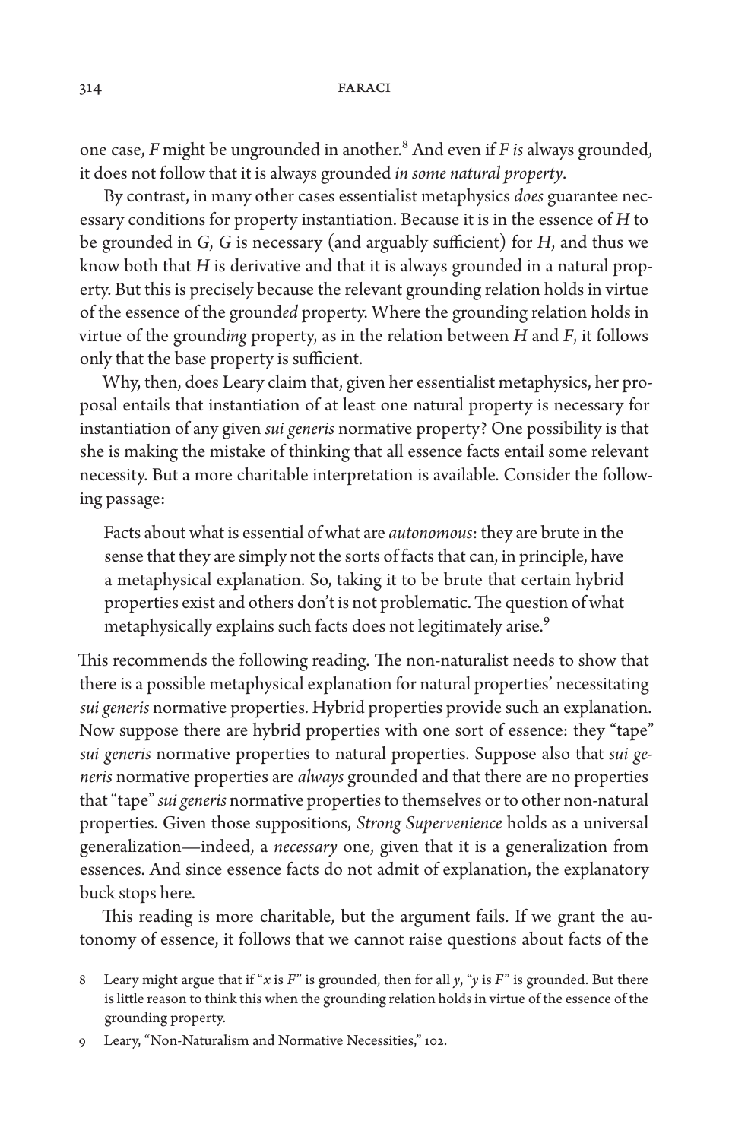one case, *F* might be ungrounded in another.8 And even if *F is* always grounded, it does not follow that it is always grounded *in some natural property*.

By contrast, in many other cases essentialist metaphysics *does* guarantee necessary conditions for property instantiation. Because it is in the essence of *H* to be grounded in *G*, *G* is necessary (and arguably sufficient) for *H*, and thus we know both that *H* is derivative and that it is always grounded in a natural property. But this is precisely because the relevant grounding relation holds in virtue of the essence of the ground*ed* property. Where the grounding relation holds in virtue of the ground*ing* property, as in the relation between *H* and *F*, it follows only that the base property is sufficient.

Why, then, does Leary claim that, given her essentialist metaphysics, her proposal entails that instantiation of at least one natural property is necessary for instantiation of any given *sui generis* normative property? One possibility is that she is making the mistake of thinking that all essence facts entail some relevant necessity. But a more charitable interpretation is available. Consider the following passage:

Facts about what is essential of what are *autonomous*: they are brute in the sense that they are simply not the sorts of facts that can, in principle, have a metaphysical explanation. So, taking it to be brute that certain hybrid properties exist and others don't is not problematic. The question of what metaphysically explains such facts does not legitimately arise.<sup>9</sup>

This recommends the following reading. The non-naturalist needs to show that there is a possible metaphysical explanation for natural properties' necessitating *sui generis* normative properties. Hybrid properties provide such an explanation. Now suppose there are hybrid properties with one sort of essence: they "tape" *sui generis* normative properties to natural properties. Suppose also that *sui generis* normative properties are *always* grounded and that there are no properties that "tape" *sui generis* normative properties to themselves or to other non-natural properties. Given those suppositions, *Strong Supervenience* holds as a universal generalization—indeed, a *necessary* one, given that it is a generalization from essences. And since essence facts do not admit of explanation, the explanatory buck stops here.

This reading is more charitable, but the argument fails. If we grant the autonomy of essence, it follows that we cannot raise questions about facts of the

<sup>8</sup> Leary might argue that if "*x* is *F*" is grounded, then for all *y*, "*y* is *F*" is grounded. But there is little reason to think this when the grounding relation holds in virtue of the essence of the grounding property.

<sup>9</sup> Leary, "Non-Naturalism and Normative Necessities," 102.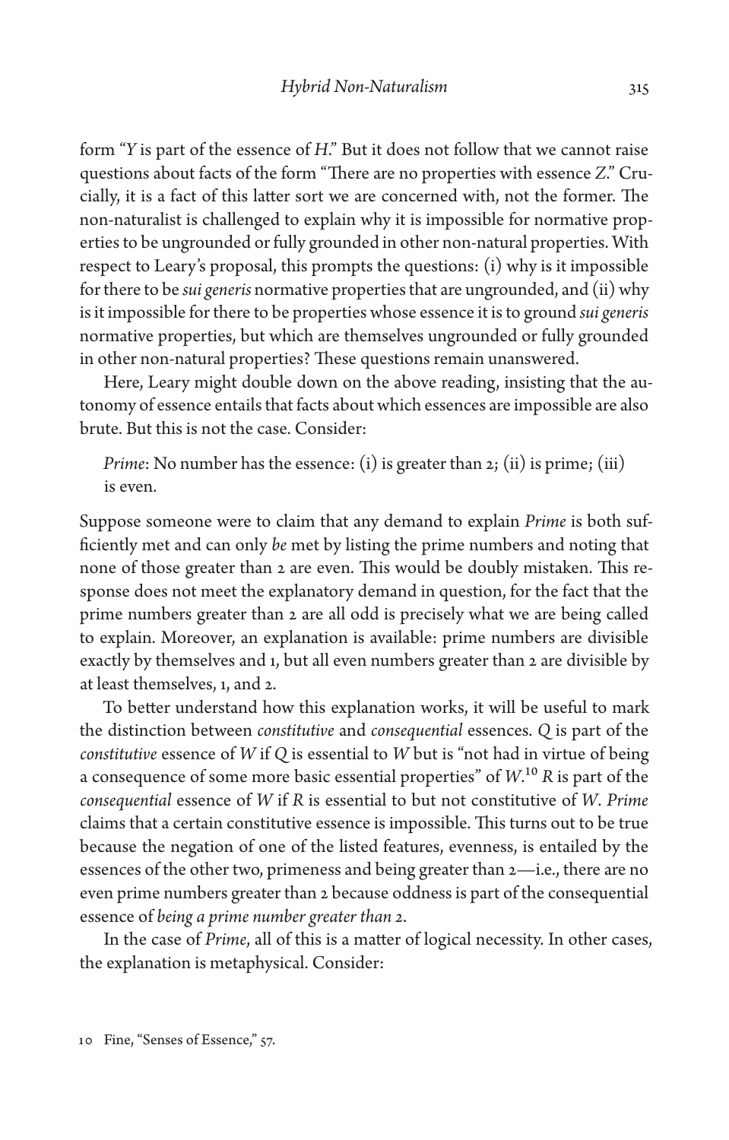form "*Y* is part of the essence of *H*." But it does not follow that we cannot raise questions about facts of the form "There are no properties with essence *Z*." Crucially, it is a fact of this latter sort we are concerned with, not the former. The non-naturalist is challenged to explain why it is impossible for normative properties to be ungrounded or fully grounded in other non-natural properties. With respect to Leary's proposal, this prompts the questions: (i) why is it impossible for there to be *sui generis* normative properties that are ungrounded, and (ii) why is it impossible for there to be properties whose essence it is to ground *sui generis*  normative properties, but which are themselves ungrounded or fully grounded in other non-natural properties? These questions remain unanswered.

Here, Leary might double down on the above reading, insisting that the autonomy of essence entails that facts about which essences are impossible are also brute. But this is not the case. Consider:

*Prime*: No number has the essence: (i) is greater than 2; (ii) is prime; (iii) is even.

Suppose someone were to claim that any demand to explain *Prime* is both sufficiently met and can only *be* met by listing the prime numbers and noting that none of those greater than 2 are even. This would be doubly mistaken. This response does not meet the explanatory demand in question, for the fact that the prime numbers greater than 2 are all odd is precisely what we are being called to explain. Moreover, an explanation is available: prime numbers are divisible exactly by themselves and 1, but all even numbers greater than 2 are divisible by at least themselves, 1, and 2.

To better understand how this explanation works, it will be useful to mark the distinction between *constitutive* and *consequential* essences. *Q* is part of the *constitutive* essence of *W* if *Q* is essential to *W* but is "not had in virtue of being a consequence of some more basic essential properties" of *W*.10 *R* is part of the *consequential* essence of *W* if *R* is essential to but not constitutive of *W*. *Prime* claims that a certain constitutive essence is impossible. This turns out to be true because the negation of one of the listed features, evenness, is entailed by the essences of the other two, primeness and being greater than 2—i.e., there are no even prime numbers greater than 2 because oddness is part of the consequential essence of *being a prime number greater than 2*.

In the case of *Prime*, all of this is a matter of logical necessity. In other cases, the explanation is metaphysical. Consider: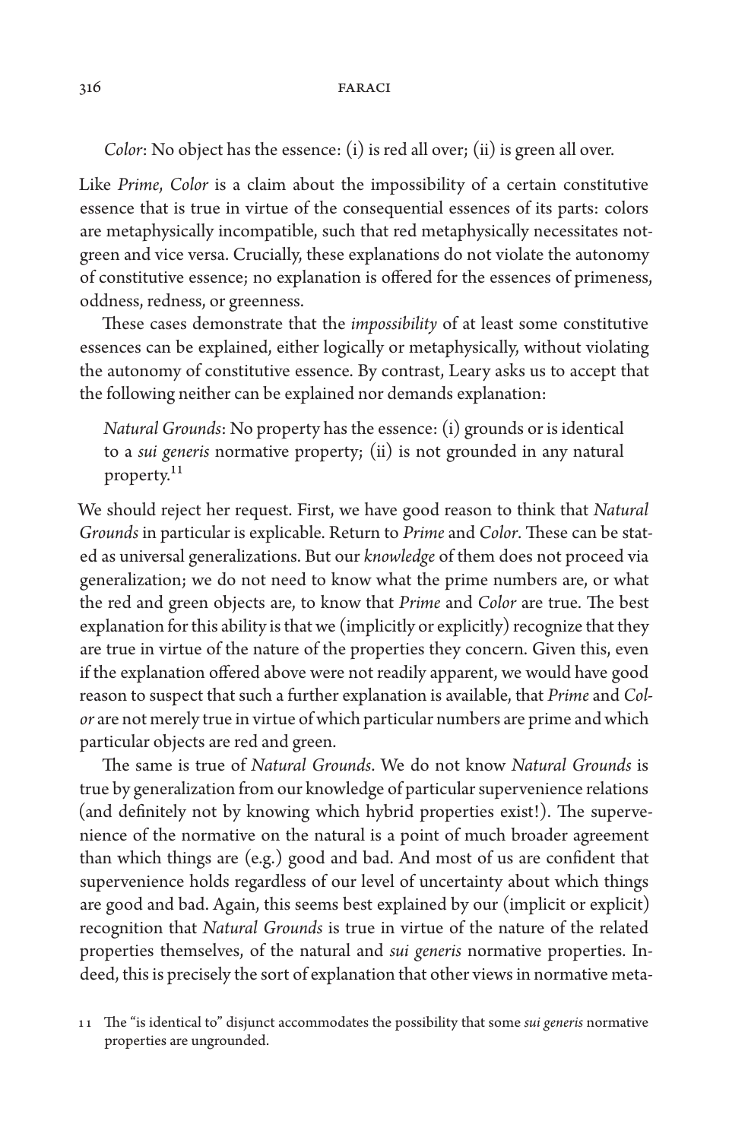*Color*: No object has the essence: (i) is red all over; (ii) is green all over.

Like *Prime*, *Color* is a claim about the impossibility of a certain constitutive essence that is true in virtue of the consequential essences of its parts: colors are metaphysically incompatible, such that red metaphysically necessitates notgreen and vice versa. Crucially, these explanations do not violate the autonomy of constitutive essence; no explanation is offered for the essences of primeness, oddness, redness, or greenness.

These cases demonstrate that the *impossibility* of at least some constitutive essences can be explained, either logically or metaphysically, without violating the autonomy of constitutive essence. By contrast, Leary asks us to accept that the following neither can be explained nor demands explanation:

*Natural Grounds*: No property has the essence: (i) grounds or is identical to a *sui generis* normative property; (ii) is not grounded in any natural property.<sup>11</sup>

We should reject her request. First, we have good reason to think that *Natural Grounds* in particular is explicable. Return to *Prime* and *Color*. These can be stated as universal generalizations. But our *knowledge* of them does not proceed via generalization; we do not need to know what the prime numbers are, or what the red and green objects are, to know that *Prime* and *Color* are true. The best explanation for this ability is that we (implicitly or explicitly) recognize that they are true in virtue of the nature of the properties they concern. Given this, even if the explanation offered above were not readily apparent, we would have good reason to suspect that such a further explanation is available, that *Prime* and *Color* are not merely true in virtue of which particular numbers are prime and which particular objects are red and green.

The same is true of *Natural Grounds*. We do not know *Natural Grounds* is true by generalization from our knowledge of particular supervenience relations (and definitely not by knowing which hybrid properties exist!). The supervenience of the normative on the natural is a point of much broader agreement than which things are (e.g.) good and bad. And most of us are confident that supervenience holds regardless of our level of uncertainty about which things are good and bad. Again, this seems best explained by our (implicit or explicit) recognition that *Natural Grounds* is true in virtue of the nature of the related properties themselves, of the natural and *sui generis* normative properties. Indeed, this is precisely the sort of explanation that other views in normative meta-

11 The "is identical to" disjunct accommodates the possibility that some *sui generis* normative properties are ungrounded.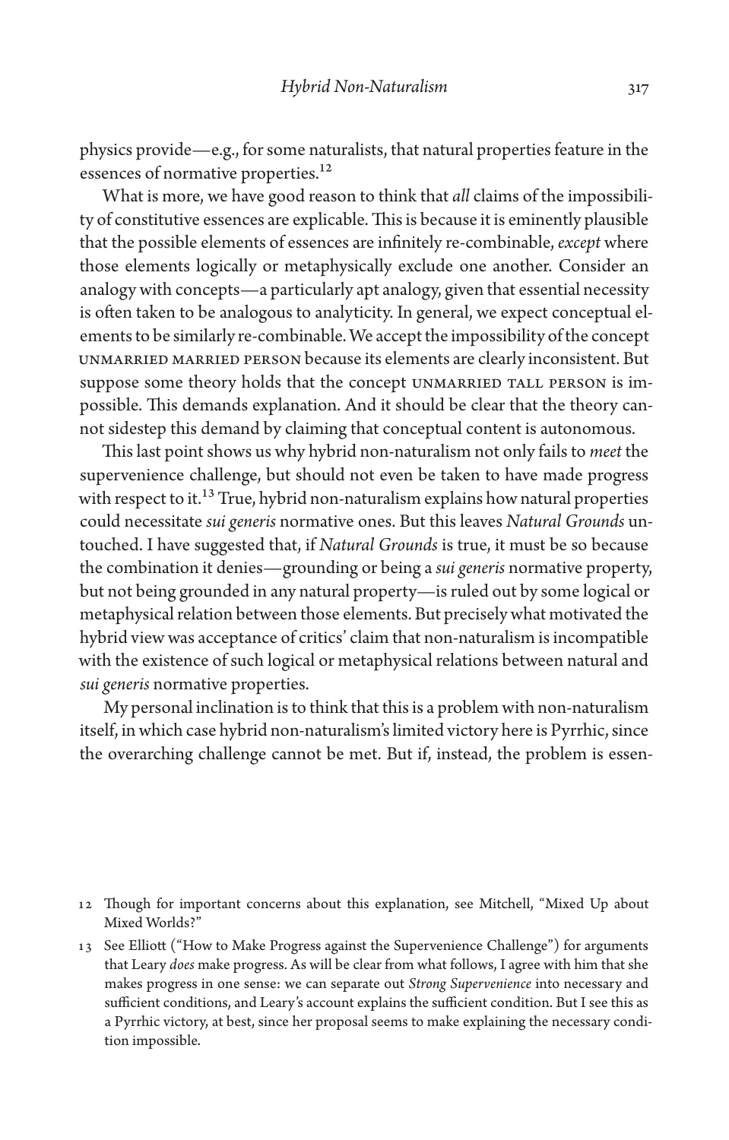physics provide—e.g., for some naturalists, that natural properties feature in the essences of normative properties.<sup>12</sup>

What is more, we have good reason to think that *all* claims of the impossibility of constitutive essences are explicable. This is because it is eminently plausible that the possible elements of essences are infinitely re-combinable, *except* where those elements logically or metaphysically exclude one another. Consider an analogy with concepts—a particularly apt analogy, given that essential necessity is often taken to be analogous to analyticity. In general, we expect conceptual elements to be similarly re-combinable. We accept the impossibility of the concept unmarried married person because its elements are clearly inconsistent. But suppose some theory holds that the concept UNMARRIED TALL PERSON is impossible. This demands explanation. And it should be clear that the theory cannot sidestep this demand by claiming that conceptual content is autonomous.

This last point shows us why hybrid non-naturalism not only fails to *meet* the supervenience challenge, but should not even be taken to have made progress with respect to it.<sup>13</sup> True, hybrid non-naturalism explains how natural properties could necessitate *sui generis* normative ones. But this leaves *Natural Grounds* untouched. I have suggested that, if *Natural Grounds* is true, it must be so because the combination it denies—grounding or being a *sui generis* normative property, but not being grounded in any natural property—is ruled out by some logical or metaphysical relation between those elements. But precisely what motivated the hybrid view was acceptance of critics' claim that non-naturalism is incompatible with the existence of such logical or metaphysical relations between natural and *sui generis* normative properties.

My personal inclination is to think that this is a problem with non-naturalism itself, in which case hybrid non-naturalism's limited victory here is Pyrrhic, since the overarching challenge cannot be met. But if, instead, the problem is essen-

<sup>12</sup> Though for important concerns about this explanation, see Mitchell, "Mixed Up about Mixed Worlds?"

<sup>13</sup> See Elliott ("How to Make Progress against the Supervenience Challenge") for arguments that Leary *does* make progress. As will be clear from what follows, I agree with him that she makes progress in one sense: we can separate out *Strong Supervenience* into necessary and sufficient conditions, and Leary's account explains the sufficient condition. But I see this as a Pyrrhic victory, at best, since her proposal seems to make explaining the necessary condition impossible.